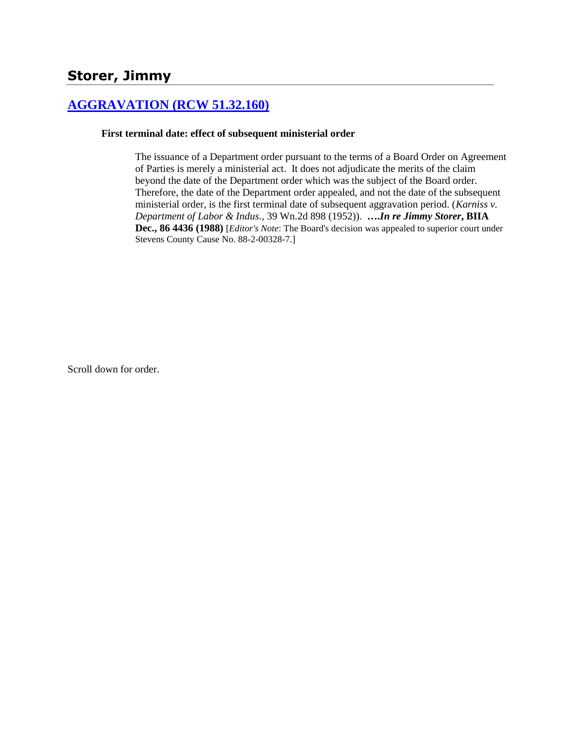# **[AGGRAVATION \(RCW 51.32.160\)](http://www.biia.wa.gov/SDSubjectIndex.html#AGGRAVATION)**

### **First terminal date: effect of subsequent ministerial order**

The issuance of a Department order pursuant to the terms of a Board Order on Agreement of Parties is merely a ministerial act. It does not adjudicate the merits of the claim beyond the date of the Department order which was the subject of the Board order. Therefore, the date of the Department order appealed, and not the date of the subsequent ministerial order, is the first terminal date of subsequent aggravation period. (*Karniss v. Department of Labor & Indus.,* 39 Wn.2d 898 (1952)). **….***In re Jimmy Storer***, BIIA Dec., 86 4436 (1988)** [*Editor's Note*: The Board's decision was appealed to superior court under Stevens County Cause No. 88-2-00328-7.]

Scroll down for order.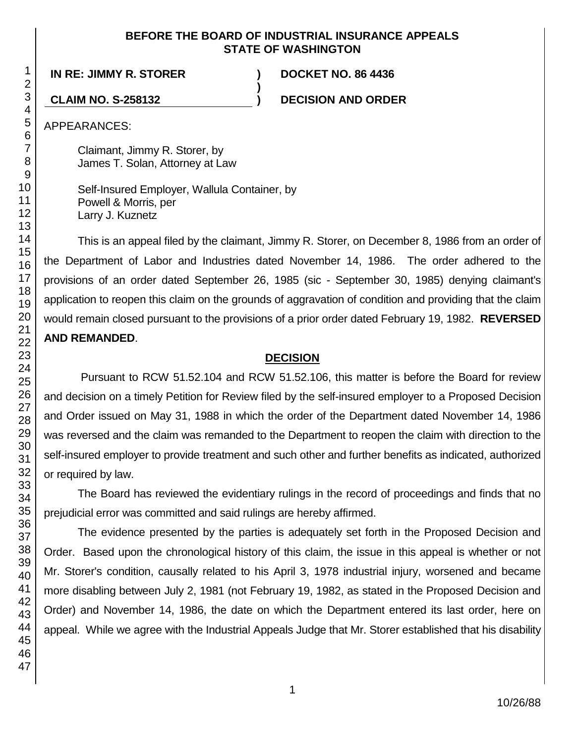### **BEFORE THE BOARD OF INDUSTRIAL INSURANCE APPEALS STATE OF WASHINGTON**

**)**

**IN RE: JIMMY R. STORER ) DOCKET NO. 86 4436**

**CLAIM NO. S-258132 ) DECISION AND ORDER**

APPEARANCES:

Claimant, Jimmy R. Storer, by James T. Solan, Attorney at Law

Self-Insured Employer, Wallula Container, by Powell & Morris, per Larry J. Kuznetz

This is an appeal filed by the claimant, Jimmy R. Storer, on December 8, 1986 from an order of the Department of Labor and Industries dated November 14, 1986. The order adhered to the provisions of an order dated September 26, 1985 (sic - September 30, 1985) denying claimant's application to reopen this claim on the grounds of aggravation of condition and providing that the claim would remain closed pursuant to the provisions of a prior order dated February 19, 1982. **REVERSED AND REMANDED**.

# **DECISION**

Pursuant to RCW 51.52.104 and RCW 51.52.106, this matter is before the Board for review and decision on a timely Petition for Review filed by the self-insured employer to a Proposed Decision and Order issued on May 31, 1988 in which the order of the Department dated November 14, 1986 was reversed and the claim was remanded to the Department to reopen the claim with direction to the self-insured employer to provide treatment and such other and further benefits as indicated, authorized or required by law.

The Board has reviewed the evidentiary rulings in the record of proceedings and finds that no prejudicial error was committed and said rulings are hereby affirmed.

The evidence presented by the parties is adequately set forth in the Proposed Decision and Order. Based upon the chronological history of this claim, the issue in this appeal is whether or not Mr. Storer's condition, causally related to his April 3, 1978 industrial injury, worsened and became more disabling between July 2, 1981 (not February 19, 1982, as stated in the Proposed Decision and Order) and November 14, 1986, the date on which the Department entered its last order, here on appeal. While we agree with the Industrial Appeals Judge that Mr. Storer established that his disability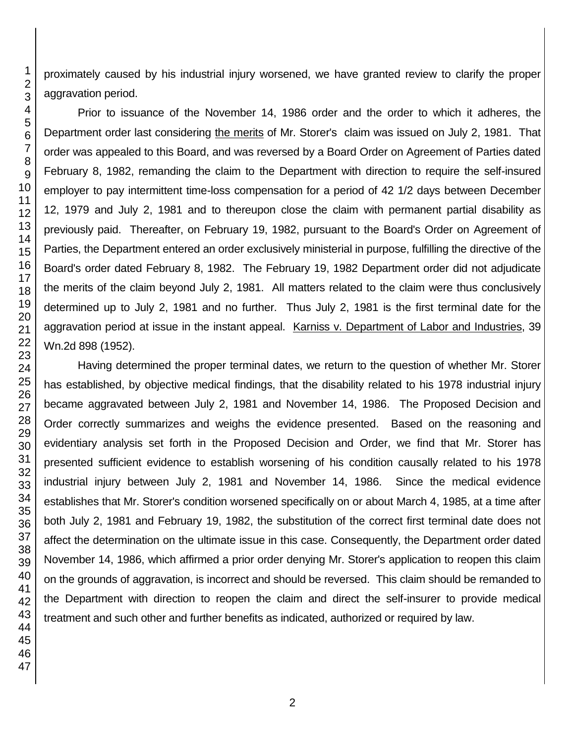proximately caused by his industrial injury worsened, we have granted review to clarify the proper aggravation period.

Prior to issuance of the November 14, 1986 order and the order to which it adheres, the Department order last considering the merits of Mr. Storer's claim was issued on July 2, 1981. That order was appealed to this Board, and was reversed by a Board Order on Agreement of Parties dated February 8, 1982, remanding the claim to the Department with direction to require the self-insured employer to pay intermittent time-loss compensation for a period of 42 1/2 days between December 12, 1979 and July 2, 1981 and to thereupon close the claim with permanent partial disability as previously paid. Thereafter, on February 19, 1982, pursuant to the Board's Order on Agreement of Parties, the Department entered an order exclusively ministerial in purpose, fulfilling the directive of the Board's order dated February 8, 1982. The February 19, 1982 Department order did not adjudicate the merits of the claim beyond July 2, 1981. All matters related to the claim were thus conclusively determined up to July 2, 1981 and no further. Thus July 2, 1981 is the first terminal date for the aggravation period at issue in the instant appeal. Karniss v. Department of Labor and Industries, 39 Wn.2d 898 (1952).

Having determined the proper terminal dates, we return to the question of whether Mr. Storer has established, by objective medical findings, that the disability related to his 1978 industrial injury became aggravated between July 2, 1981 and November 14, 1986. The Proposed Decision and Order correctly summarizes and weighs the evidence presented. Based on the reasoning and evidentiary analysis set forth in the Proposed Decision and Order, we find that Mr. Storer has presented sufficient evidence to establish worsening of his condition causally related to his 1978 industrial injury between July 2, 1981 and November 14, 1986. Since the medical evidence establishes that Mr. Storer's condition worsened specifically on or about March 4, 1985, at a time after both July 2, 1981 and February 19, 1982, the substitution of the correct first terminal date does not affect the determination on the ultimate issue in this case. Consequently, the Department order dated November 14, 1986, which affirmed a prior order denying Mr. Storer's application to reopen this claim on the grounds of aggravation, is incorrect and should be reversed. This claim should be remanded to the Department with direction to reopen the claim and direct the self-insurer to provide medical treatment and such other and further benefits as indicated, authorized or required by law.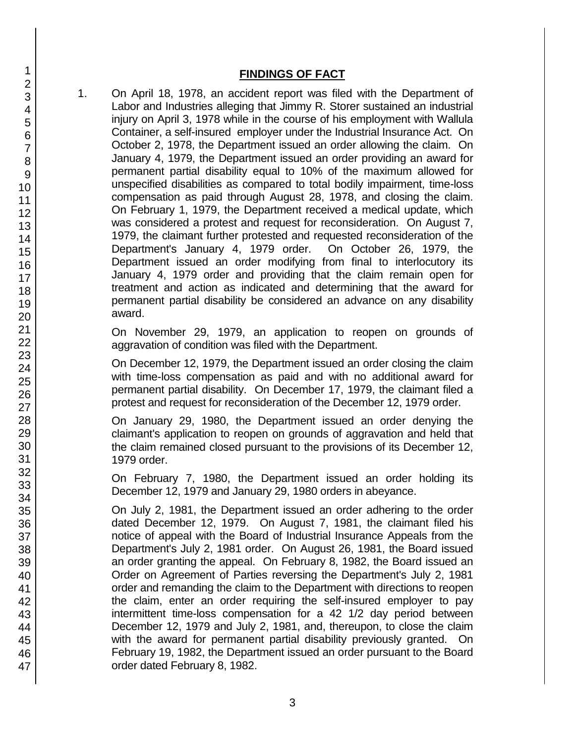### **FINDINGS OF FACT**

1. On April 18, 1978, an accident report was filed with the Department of Labor and Industries alleging that Jimmy R. Storer sustained an industrial injury on April 3, 1978 while in the course of his employment with Wallula Container, a self-insured employer under the Industrial Insurance Act. On October 2, 1978, the Department issued an order allowing the claim. On January 4, 1979, the Department issued an order providing an award for permanent partial disability equal to 10% of the maximum allowed for unspecified disabilities as compared to total bodily impairment, time-loss compensation as paid through August 28, 1978, and closing the claim. On February 1, 1979, the Department received a medical update, which was considered a protest and request for reconsideration. On August 7, 1979, the claimant further protested and requested reconsideration of the Department's January 4, 1979 order. On October 26, 1979, the Department issued an order modifying from final to interlocutory its January 4, 1979 order and providing that the claim remain open for treatment and action as indicated and determining that the award for permanent partial disability be considered an advance on any disability award.

On November 29, 1979, an application to reopen on grounds of aggravation of condition was filed with the Department.

On December 12, 1979, the Department issued an order closing the claim with time-loss compensation as paid and with no additional award for permanent partial disability. On December 17, 1979, the claimant filed a protest and request for reconsideration of the December 12, 1979 order.

On January 29, 1980, the Department issued an order denying the claimant's application to reopen on grounds of aggravation and held that the claim remained closed pursuant to the provisions of its December 12, 1979 order.

On February 7, 1980, the Department issued an order holding its December 12, 1979 and January 29, 1980 orders in abeyance.

On July 2, 1981, the Department issued an order adhering to the order dated December 12, 1979. On August 7, 1981, the claimant filed his notice of appeal with the Board of Industrial Insurance Appeals from the Department's July 2, 1981 order. On August 26, 1981, the Board issued an order granting the appeal. On February 8, 1982, the Board issued an Order on Agreement of Parties reversing the Department's July 2, 1981 order and remanding the claim to the Department with directions to reopen the claim, enter an order requiring the self-insured employer to pay intermittent time-loss compensation for a 42 1/2 day period between December 12, 1979 and July 2, 1981, and, thereupon, to close the claim with the award for permanent partial disability previously granted. On February 19, 1982, the Department issued an order pursuant to the Board order dated February 8, 1982.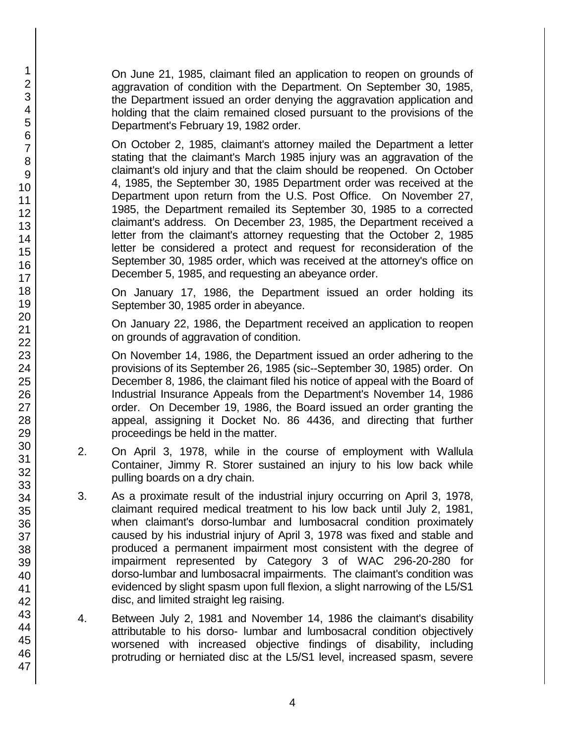On June 21, 1985, claimant filed an application to reopen on grounds of aggravation of condition with the Department. On September 30, 1985, the Department issued an order denying the aggravation application and holding that the claim remained closed pursuant to the provisions of the Department's February 19, 1982 order.

On October 2, 1985, claimant's attorney mailed the Department a letter stating that the claimant's March 1985 injury was an aggravation of the claimant's old injury and that the claim should be reopened. On October 4, 1985, the September 30, 1985 Department order was received at the Department upon return from the U.S. Post Office. On November 27, 1985, the Department remailed its September 30, 1985 to a corrected claimant's address. On December 23, 1985, the Department received a letter from the claimant's attorney requesting that the October 2, 1985 letter be considered a protect and request for reconsideration of the September 30, 1985 order, which was received at the attorney's office on December 5, 1985, and requesting an abeyance order.

On January 17, 1986, the Department issued an order holding its September 30, 1985 order in abeyance.

On January 22, 1986, the Department received an application to reopen on grounds of aggravation of condition.

On November 14, 1986, the Department issued an order adhering to the provisions of its September 26, 1985 (sic--September 30, 1985) order. On December 8, 1986, the claimant filed his notice of appeal with the Board of Industrial Insurance Appeals from the Department's November 14, 1986 order. On December 19, 1986, the Board issued an order granting the appeal, assigning it Docket No. 86 4436, and directing that further proceedings be held in the matter.

- 2. On April 3, 1978, while in the course of employment with Wallula Container, Jimmy R. Storer sustained an injury to his low back while pulling boards on a dry chain.
- 3. As a proximate result of the industrial injury occurring on April 3, 1978, claimant required medical treatment to his low back until July 2, 1981, when claimant's dorso-lumbar and lumbosacral condition proximately caused by his industrial injury of April 3, 1978 was fixed and stable and produced a permanent impairment most consistent with the degree of impairment represented by Category 3 of WAC 296-20-280 for dorso-lumbar and lumbosacral impairments. The claimant's condition was evidenced by slight spasm upon full flexion, a slight narrowing of the L5/S1 disc, and limited straight leg raising.
- 4. Between July 2, 1981 and November 14, 1986 the claimant's disability attributable to his dorso- lumbar and lumbosacral condition objectively worsened with increased objective findings of disability, including protruding or herniated disc at the L5/S1 level, increased spasm, severe

1